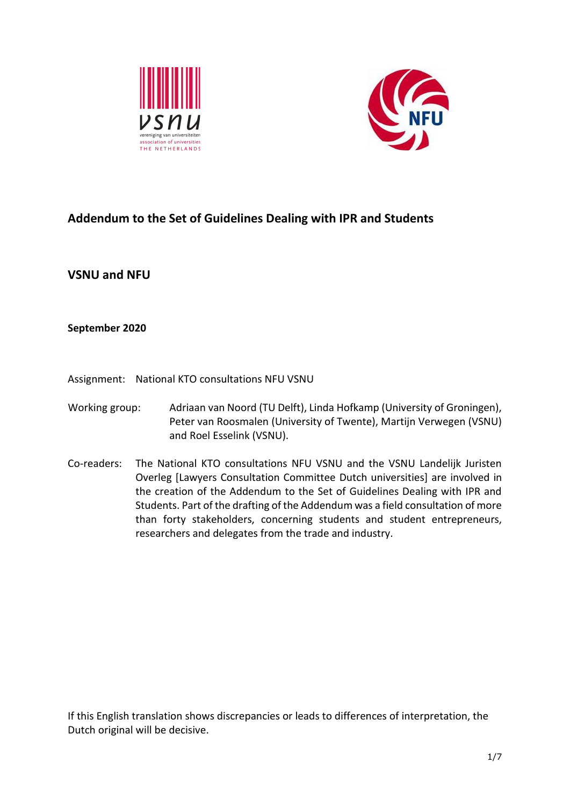



# **Addendum to the Set of Guidelines Dealing with IPR and Students**

**VSNU and NFU**

**September 2020**

Assignment: National KTO consultations NFU VSNU

- Working group: Adriaan van Noord (TU Delft), Linda Hofkamp (University of Groningen), Peter van Roosmalen (University of Twente), Martijn Verwegen (VSNU) and Roel Esselink (VSNU).
- Co-readers: The National KTO consultations NFU VSNU and the VSNU Landelijk Juristen Overleg [Lawyers Consultation Committee Dutch universities] are involved in the creation of the Addendum to the Set of Guidelines Dealing with IPR and Students. Part of the drafting of the Addendum was a field consultation of more than forty stakeholders, concerning students and student entrepreneurs, researchers and delegates from the trade and industry.

If this English translation shows discrepancies or leads to differences of interpretation, the Dutch original will be decisive.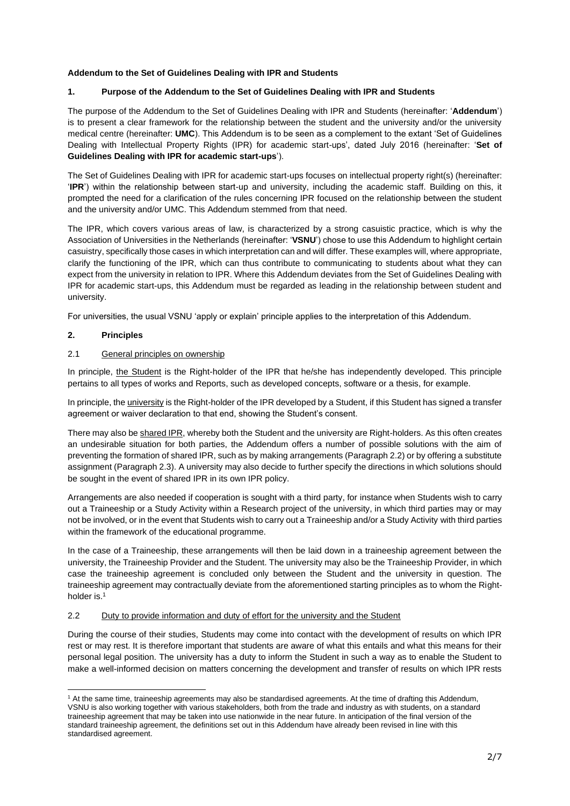## **Addendum to the Set of Guidelines Dealing with IPR and Students**

# **1. Purpose of the Addendum to the Set of Guidelines Dealing with IPR and Students**

The purpose of the Addendum to the Set of Guidelines Dealing with IPR and Students (hereinafter: '**Addendum**') is to present a clear framework for the relationship between the student and the university and/or the university medical centre (hereinafter: **UMC**). This Addendum is to be seen as a complement to the extant 'Set of Guidelines Dealing with Intellectual Property Rights (IPR) for academic start-ups', dated July 2016 (hereinafter: '**Set of Guidelines Dealing with IPR for academic start-ups**').

The Set of Guidelines Dealing with IPR for academic start-ups focuses on intellectual property right(s) (hereinafter: '**IPR**') within the relationship between start-up and university, including the academic staff. Building on this, it prompted the need for a clarification of the rules concerning IPR focused on the relationship between the student and the university and/or UMC. This Addendum stemmed from that need.

The IPR, which covers various areas of law, is characterized by a strong casuistic practice, which is why the Association of Universities in the Netherlands (hereinafter: '**VSNU**') chose to use this Addendum to highlight certain casuistry, specifically those cases in which interpretation can and will differ. These examples will, where appropriate, clarify the functioning of the IPR, which can thus contribute to communicating to students about what they can expect from the university in relation to IPR. Where this Addendum deviates from the Set of Guidelines Dealing with IPR for academic start-ups, this Addendum must be regarded as leading in the relationship between student and university.

For universities, the usual VSNU 'apply or explain' principle applies to the interpretation of this Addendum.

## **2. Principles**

# 2.1 General principles on ownership

In principle, the Student is the Right-holder of the IPR that he/she has independently developed. This principle pertains to all types of works and Reports, such as developed concepts, software or a thesis, for example.

In principle, the *university* is the Right-holder of the IPR developed by a Student, if this Student has signed a transfer agreement or waiver declaration to that end, showing the Student's consent.

There may also be shared IPR, whereby both the Student and the university are Right-holders. As this often creates an undesirable situation for both parties, the Addendum offers a number of possible solutions with the aim of preventing the formation of shared IPR, such as by making arrangements (Paragraph 2.2) or by offering a substitute assignment (Paragraph 2.3). A university may also decide to further specify the directions in which solutions should be sought in the event of shared IPR in its own IPR policy.

Arrangements are also needed if cooperation is sought with a third party, for instance when Students wish to carry out a Traineeship or a Study Activity within a Research project of the university, in which third parties may or may not be involved, or in the event that Students wish to carry out a Traineeship and/or a Study Activity with third parties within the framework of the educational programme.

In the case of a Traineeship, these arrangements will then be laid down in a traineeship agreement between the university, the Traineeship Provider and the Student. The university may also be the Traineeship Provider, in which case the traineeship agreement is concluded only between the Student and the university in question. The traineeship agreement may contractually deviate from the aforementioned starting principles as to whom the Rightholder is.<sup>1</sup>

## 2.2 Duty to provide information and duty of effort for the university and the Student

During the course of their studies, Students may come into contact with the development of results on which IPR rest or may rest. It is therefore important that students are aware of what this entails and what this means for their personal legal position. The university has a duty to inform the Student in such a way as to enable the Student to make a well-informed decision on matters concerning the development and transfer of results on which IPR rests

<sup>&</sup>lt;sup>1</sup> At the same time, traineeship agreements may also be standardised agreements. At the time of drafting this Addendum, VSNU is also working together with various stakeholders, both from the trade and industry as with students, on a standard traineeship agreement that may be taken into use nationwide in the near future. In anticipation of the final version of the standard traineeship agreement, the definitions set out in this Addendum have already been revised in line with this standardised agreement.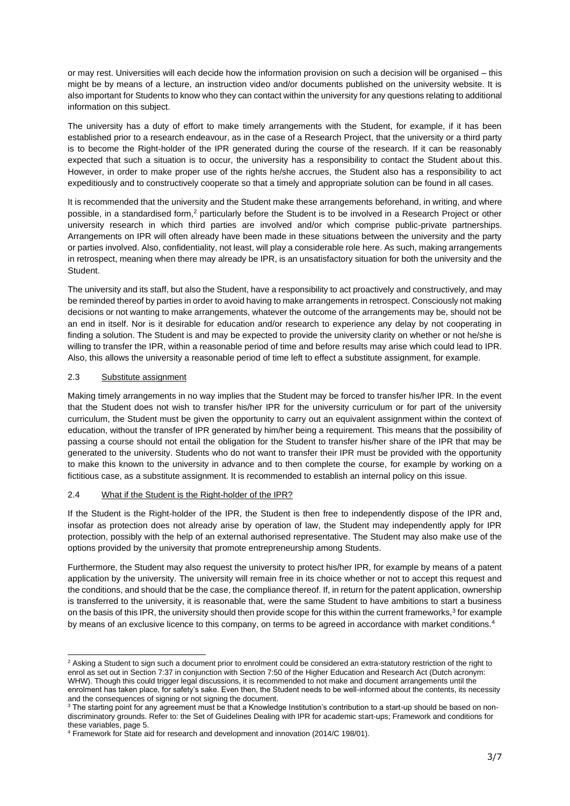or may rest. Universities will each decide how the information provision on such a decision will be organised – this might be by means of a lecture, an instruction video and/or documents published on the university website. It is also important for Students to know who they can contact within the university for any questions relating to additional information on this subject.

The university has a duty of effort to make timely arrangements with the Student, for example, if it has been established prior to a research endeavour, as in the case of a Research Project, that the university or a third party is to become the Right-holder of the IPR generated during the course of the research. If it can be reasonably expected that such a situation is to occur, the university has a responsibility to contact the Student about this. However, in order to make proper use of the rights he/she accrues, the Student also has a responsibility to act expeditiously and to constructively cooperate so that a timely and appropriate solution can be found in all cases.

It is recommended that the university and the Student make these arrangements beforehand, in writing, and where possible, in a standardised form,<sup>2</sup> particularly before the Student is to be involved in a Research Project or other university research in which third parties are involved and/or which comprise public-private partnerships. Arrangements on IPR will often already have been made in these situations between the university and the party or parties involved. Also, confidentiality, not least, will play a considerable role here. As such, making arrangements in retrospect, meaning when there may already be IPR, is an unsatisfactory situation for both the university and the Student.

The university and its staff, but also the Student, have a responsibility to act proactively and constructively, and may be reminded thereof by parties in order to avoid having to make arrangements in retrospect. Consciously not making decisions or not wanting to make arrangements, whatever the outcome of the arrangements may be, should not be an end in itself. Nor is it desirable for education and/or research to experience any delay by not cooperating in finding a solution. The Student is and may be expected to provide the university clarity on whether or not he/she is willing to transfer the IPR, within a reasonable period of time and before results may arise which could lead to IPR. Also, this allows the university a reasonable period of time left to effect a substitute assignment, for example.

## 2.3 Substitute assignment

Making timely arrangements in no way implies that the Student may be forced to transfer his/her IPR. In the event that the Student does not wish to transfer his/her IPR for the university curriculum or for part of the university curriculum, the Student must be given the opportunity to carry out an equivalent assignment within the context of education, without the transfer of IPR generated by him/her being a requirement. This means that the possibility of passing a course should not entail the obligation for the Student to transfer his/her share of the IPR that may be generated to the university. Students who do not want to transfer their IPR must be provided with the opportunity to make this known to the university in advance and to then complete the course, for example by working on a fictitious case, as a substitute assignment. It is recommended to establish an internal policy on this issue.

#### 2.4 What if the Student is the Right-holder of the IPR?

If the Student is the Right-holder of the IPR, the Student is then free to independently dispose of the IPR and, insofar as protection does not already arise by operation of law, the Student may independently apply for IPR protection, possibly with the help of an external authorised representative. The Student may also make use of the options provided by the university that promote entrepreneurship among Students.

Furthermore, the Student may also request the university to protect his/her IPR, for example by means of a patent application by the university. The university will remain free in its choice whether or not to accept this request and the conditions, and should that be the case, the compliance thereof. If, in return for the patent application, ownership is transferred to the university, it is reasonable that, were the same Student to have ambitions to start a business on the basis of this IPR, the university should then provide scope for this within the current frameworks,<sup>3</sup> for example by means of an exclusive licence to this company, on terms to be agreed in accordance with market conditions.<sup>4</sup>

<sup>&</sup>lt;sup>2</sup> Asking a Student to sign such a document prior to enrolment could be considered an extra-statutory restriction of the right to enrol as set out in Section 7:37 in conjunction with Section 7:50 of the Higher Education and Research Act (Dutch acronym: WHW). Though this could trigger legal discussions, it is recommended to not make and document arrangements until the enrolment has taken place, for safety's sake. Even then, the Student needs to be well-informed about the contents, its necessity and the consequences of signing or not signing the document.

<sup>&</sup>lt;sup>3</sup> The starting point for any agreement must be that a Knowledge Institution's contribution to a start-up should be based on nondiscriminatory grounds. Refer to: the Set of Guidelines Dealing with IPR for academic start-ups; Framework and conditions for these variables, page 5.

<sup>4</sup> Framework for State aid for research and development and innovation (2014/C 198/01).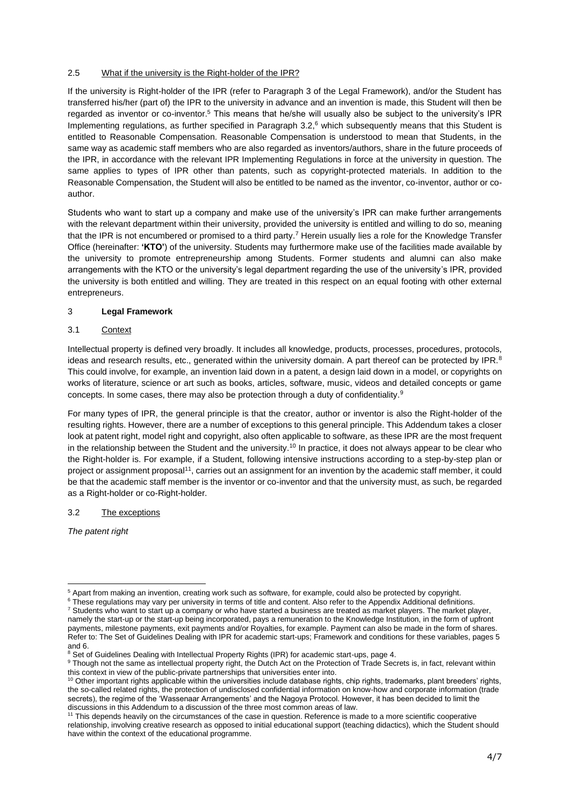## 2.5 What if the university is the Right-holder of the IPR?

If the university is Right-holder of the IPR (refer to Paragraph 3 of the Legal Framework), and/or the Student has transferred his/her (part of) the IPR to the university in advance and an invention is made, this Student will then be regarded as inventor or co-inventor.<sup>5</sup> This means that he/she will usually also be subject to the university's IPR Implementing regulations, as further specified in Paragraph 3.2,<sup>6</sup> which subsequently means that this Student is entitled to Reasonable Compensation. Reasonable Compensation is understood to mean that Students, in the same way as academic staff members who are also regarded as inventors/authors, share in the future proceeds of the IPR, in accordance with the relevant IPR Implementing Regulations in force at the university in question. The same applies to types of IPR other than patents, such as copyright-protected materials. In addition to the Reasonable Compensation, the Student will also be entitled to be named as the inventor, co-inventor, author or coauthor.

Students who want to start up a company and make use of the university's IPR can make further arrangements with the relevant department within their university, provided the university is entitled and willing to do so, meaning that the IPR is not encumbered or promised to a third party.<sup>7</sup> Herein usually lies a role for the Knowledge Transfer Office (hereinafter: **'KTO'**) of the university. Students may furthermore make use of the facilities made available by the university to promote entrepreneurship among Students. Former students and alumni can also make arrangements with the KTO or the university's legal department regarding the use of the university's IPR, provided the university is both entitled and willing. They are treated in this respect on an equal footing with other external entrepreneurs.

## 3 **Legal Framework**

# 3.1 Context

Intellectual property is defined very broadly. It includes all knowledge, products, processes, procedures, protocols, ideas and research results, etc., generated within the university domain. A part thereof can be protected by IPR.<sup>8</sup> This could involve, for example, an invention laid down in a patent, a design laid down in a model, or copyrights on works of literature, science or art such as books, articles, software, music, videos and detailed concepts or game concepts. In some cases, there may also be protection through a duty of confidentiality.<sup>9</sup>

For many types of IPR, the general principle is that the creator, author or inventor is also the Right-holder of the resulting rights. However, there are a number of exceptions to this general principle. This Addendum takes a closer look at patent right, model right and copyright, also often applicable to software, as these IPR are the most frequent in the relationship between the Student and the university.<sup>10</sup> In practice, it does not always appear to be clear who the Right-holder is. For example, if a Student, following intensive instructions according to a step-by-step plan or project or assignment proposal<sup>11</sup>, carries out an assignment for an invention by the academic staff member, it could be that the academic staff member is the inventor or co-inventor and that the university must, as such, be regarded as a Right-holder or co-Right-holder.

## 3.2 The exceptions

*The patent right*

<sup>5</sup> Apart from making an invention, creating work such as software, for example, could also be protected by copyright.

<sup>&</sup>lt;sup>6</sup> These regulations may vary per university in terms of title and content. Also refer to the Appendix Additional definitions.  $7$  Students who want to start up a company or who have started a business are treated as market players. The market player, namely the start-up or the start-up being incorporated, pays a remuneration to the Knowledge Institution, in the form of upfront payments, milestone payments, exit payments and/or Royalties, for example. Payment can also be made in the form of shares. Refer to: The Set of Guidelines Dealing with IPR for academic start-ups; Framework and conditions for these variables, pages 5 and 6.

<sup>&</sup>lt;sup>8</sup> Set of Guidelines Dealing with Intellectual Property Rights (IPR) for academic start-ups, page 4.

<sup>9</sup> Though not the same as intellectual property right, the Dutch Act on the Protection of Trade Secrets is, in fact, relevant within this context in view of the public-private partnerships that universities enter into.

<sup>10</sup> Other important rights applicable within the universities include database rights, chip rights, trademarks, plant breeders' rights, the so-called related rights, the protection of undisclosed confidential information on know-how and corporate information (trade secrets), the regime of the 'Wassenaar Arrangements' and the Nagoya Protocol. However, it has been decided to limit the discussions in this Addendum to a discussion of the three most common areas of law.

<sup>&</sup>lt;sup>11</sup> This depends heavily on the circumstances of the case in question. Reference is made to a more scientific cooperative relationship, involving creative research as opposed to initial educational support (teaching didactics), which the Student should have within the context of the educational programme.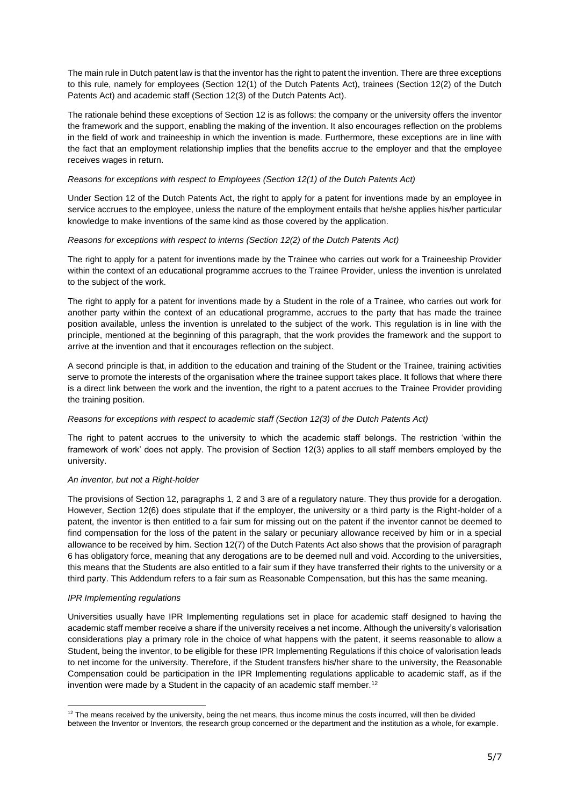The main rule in Dutch patent law is that the inventor has the right to patent the invention. There are three exceptions to this rule, namely for employees (Section 12(1) of the Dutch Patents Act), trainees (Section 12(2) of the Dutch Patents Act) and academic staff (Section 12(3) of the Dutch Patents Act).

The rationale behind these exceptions of Section 12 is as follows: the company or the university offers the inventor the framework and the support, enabling the making of the invention. It also encourages reflection on the problems in the field of work and traineeship in which the invention is made. Furthermore, these exceptions are in line with the fact that an employment relationship implies that the benefits accrue to the employer and that the employee receives wages in return.

#### *Reasons for exceptions with respect to Employees (Section 12(1) of the Dutch Patents Act)*

Under Section 12 of the Dutch Patents Act, the right to apply for a patent for inventions made by an employee in service accrues to the employee, unless the nature of the employment entails that he/she applies his/her particular knowledge to make inventions of the same kind as those covered by the application.

#### *Reasons for exceptions with respect to interns (Section 12(2) of the Dutch Patents Act)*

The right to apply for a patent for inventions made by the Trainee who carries out work for a Traineeship Provider within the context of an educational programme accrues to the Trainee Provider, unless the invention is unrelated to the subject of the work.

The right to apply for a patent for inventions made by a Student in the role of a Trainee, who carries out work for another party within the context of an educational programme, accrues to the party that has made the trainee position available, unless the invention is unrelated to the subject of the work. This regulation is in line with the principle, mentioned at the beginning of this paragraph, that the work provides the framework and the support to arrive at the invention and that it encourages reflection on the subject.

A second principle is that, in addition to the education and training of the Student or the Trainee, training activities serve to promote the interests of the organisation where the trainee support takes place. It follows that where there is a direct link between the work and the invention, the right to a patent accrues to the Trainee Provider providing the training position.

#### *Reasons for exceptions with respect to academic staff (Section 12(3) of the Dutch Patents Act)*

The right to patent accrues to the university to which the academic staff belongs. The restriction 'within the framework of work' does not apply. The provision of Section 12(3) applies to all staff members employed by the university.

#### *An inventor, but not a Right-holder*

The provisions of Section 12, paragraphs 1, 2 and 3 are of a regulatory nature. They thus provide for a derogation. However, Section 12(6) does stipulate that if the employer, the university or a third party is the Right-holder of a patent, the inventor is then entitled to a fair sum for missing out on the patent if the inventor cannot be deemed to find compensation for the loss of the patent in the salary or pecuniary allowance received by him or in a special allowance to be received by him. Section 12(7) of the Dutch Patents Act also shows that the provision of paragraph 6 has obligatory force, meaning that any derogations are to be deemed null and void. According to the universities, this means that the Students are also entitled to a fair sum if they have transferred their rights to the university or a third party. This Addendum refers to a fair sum as Reasonable Compensation, but this has the same meaning.

#### *IPR Implementing regulations*

Universities usually have IPR Implementing regulations set in place for academic staff designed to having the academic staff member receive a share if the university receives a net income. Although the university's valorisation considerations play a primary role in the choice of what happens with the patent, it seems reasonable to allow a Student, being the inventor, to be eligible for these IPR Implementing Regulations if this choice of valorisation leads to net income for the university. Therefore, if the Student transfers his/her share to the university, the Reasonable Compensation could be participation in the IPR Implementing regulations applicable to academic staff, as if the invention were made by a Student in the capacity of an academic staff member.<sup>12</sup>

 $12$  The means received by the university, being the net means, thus income minus the costs incurred, will then be divided between the Inventor or Inventors, the research group concerned or the department and the institution as a whole, for example.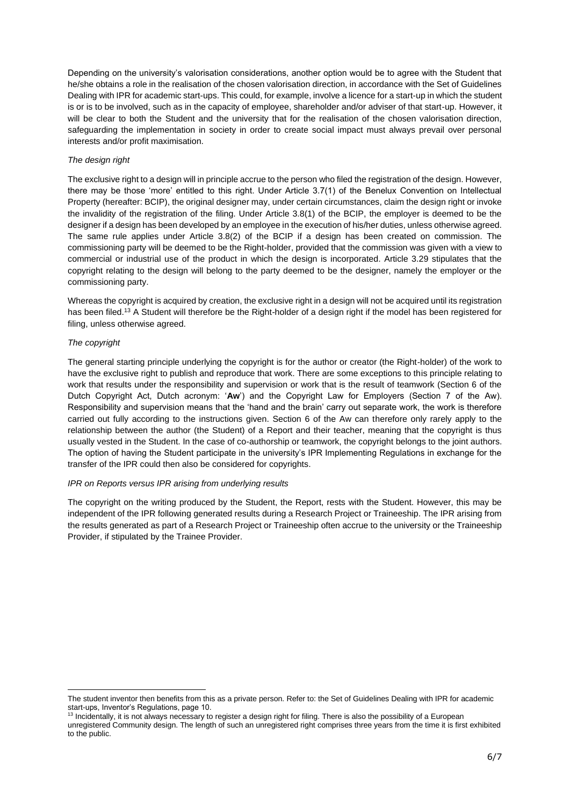Depending on the university's valorisation considerations, another option would be to agree with the Student that he/she obtains a role in the realisation of the chosen valorisation direction, in accordance with the Set of Guidelines Dealing with IPR for academic start-ups. This could, for example, involve a licence for a start-up in which the student is or is to be involved, such as in the capacity of employee, shareholder and/or adviser of that start-up. However, it will be clear to both the Student and the university that for the realisation of the chosen valorisation direction, safeguarding the implementation in society in order to create social impact must always prevail over personal interests and/or profit maximisation.

### *The design right*

The exclusive right to a design will in principle accrue to the person who filed the registration of the design. However, there may be those 'more' entitled to this right. Under Article 3.7(1) of the Benelux Convention on Intellectual Property (hereafter: BCIP), the original designer may, under certain circumstances, claim the design right or invoke the invalidity of the registration of the filing. Under Article 3.8(1) of the BCIP, the employer is deemed to be the designer if a design has been developed by an employee in the execution of his/her duties, unless otherwise agreed. The same rule applies under Article 3.8(2) of the BCIP if a design has been created on commission. The commissioning party will be deemed to be the Right-holder, provided that the commission was given with a view to commercial or industrial use of the product in which the design is incorporated. Article 3.29 stipulates that the copyright relating to the design will belong to the party deemed to be the designer, namely the employer or the commissioning party.

Whereas the copyright is acquired by creation, the exclusive right in a design will not be acquired until its registration has been filed.<sup>13</sup> A Student will therefore be the Right-holder of a design right if the model has been registered for filing, unless otherwise agreed.

#### *The copyright*

The general starting principle underlying the copyright is for the author or creator (the Right-holder) of the work to have the exclusive right to publish and reproduce that work. There are some exceptions to this principle relating to work that results under the responsibility and supervision or work that is the result of teamwork (Section 6 of the Dutch Copyright Act, Dutch acronym: '**Aw**') and the Copyright Law for Employers (Section 7 of the Aw). Responsibility and supervision means that the 'hand and the brain' carry out separate work, the work is therefore carried out fully according to the instructions given. Section 6 of the Aw can therefore only rarely apply to the relationship between the author (the Student) of a Report and their teacher, meaning that the copyright is thus usually vested in the Student. In the case of co-authorship or teamwork, the copyright belongs to the joint authors. The option of having the Student participate in the university's IPR Implementing Regulations in exchange for the transfer of the IPR could then also be considered for copyrights.

#### *IPR on Reports versus IPR arising from underlying results*

The copyright on the writing produced by the Student, the Report, rests with the Student. However, this may be independent of the IPR following generated results during a Research Project or Traineeship. The IPR arising from the results generated as part of a Research Project or Traineeship often accrue to the university or the Traineeship Provider, if stipulated by the Trainee Provider.

The student inventor then benefits from this as a private person. Refer to: the Set of Guidelines Dealing with IPR for academic start-ups, Inventor's Regulations, page 10.

<sup>&</sup>lt;sup>13</sup> Incidentally, it is not always necessary to register a design right for filing. There is also the possibility of a European unregistered Community design. The length of such an unregistered right comprises three years from the time it is first exhibited to the public.